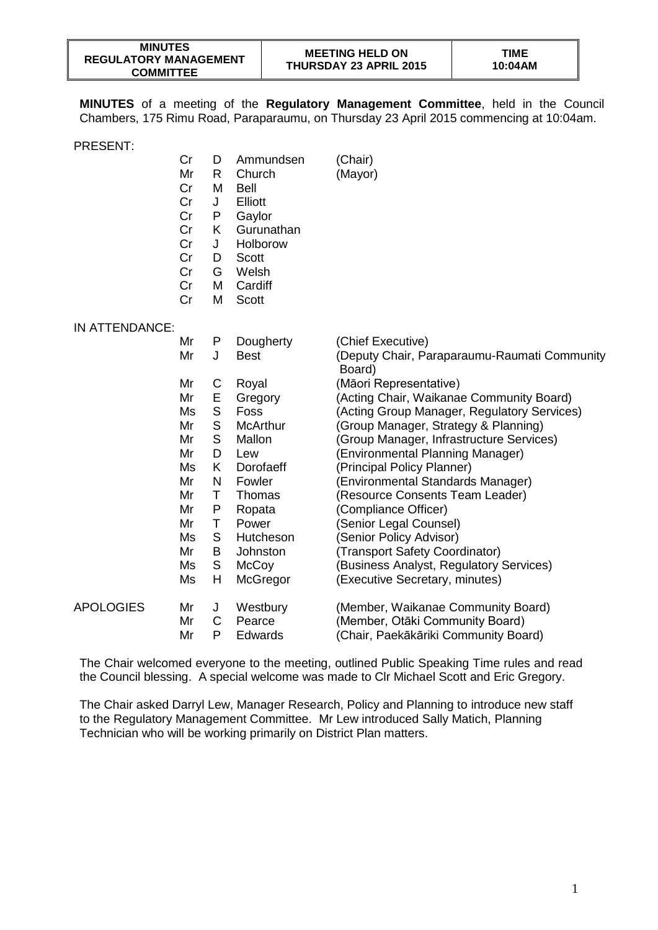| <b>MINUTES</b>               |  |  |  |  |  |
|------------------------------|--|--|--|--|--|
| <b>REGULATORY MANAGEMENT</b> |  |  |  |  |  |
| <b>COMMITTEE</b>             |  |  |  |  |  |

**MINUTES** of a meeting of the **Regulatory Management Committee**, held in the Council Chambers, 175 Rimu Road, Paraparaumu, on Thursday 23 April 2015 commencing at 10:04am.

PRESENT:

|                  | Cr<br>Mr<br>Cr<br>Cr<br>Cr<br>Cr<br>Cr<br>Cr<br>Cr<br>Cr<br>Cr | D<br>R.<br>M<br>J<br>P<br>K<br>J<br>D<br>G<br>M<br>M | Ammundsen<br>Church<br><b>Bell</b><br>Elliott<br>Gaylor<br>Gurunathan<br>Holborow<br><b>Scott</b><br>Welsh<br>Cardiff<br>Scott | (Chair)<br>(Mayor)                                     |
|------------------|----------------------------------------------------------------|------------------------------------------------------|--------------------------------------------------------------------------------------------------------------------------------|--------------------------------------------------------|
| IN ATTENDANCE:   |                                                                |                                                      |                                                                                                                                |                                                        |
|                  | Mr                                                             | P                                                    | Dougherty                                                                                                                      | (Chief Executive)                                      |
|                  | Mr                                                             | J                                                    | <b>Best</b>                                                                                                                    | (Deputy Chair, Paraparaumu-Raumati Community<br>Board) |
|                  | Mr                                                             | C                                                    | Royal                                                                                                                          | (Māori Representative)                                 |
|                  | Mr                                                             | Ε                                                    | Gregory                                                                                                                        | (Acting Chair, Waikanae Community Board)               |
|                  | Ms                                                             | $\mathbb S$                                          | Foss                                                                                                                           | (Acting Group Manager, Regulatory Services)            |
|                  | Mr                                                             | $\mathsf{S}$                                         | <b>McArthur</b>                                                                                                                | (Group Manager, Strategy & Planning)                   |
|                  | Mr                                                             | $\mathsf{S}$                                         | Mallon                                                                                                                         | (Group Manager, Infrastructure Services)               |
|                  | Mr                                                             | D                                                    | Lew                                                                                                                            | (Environmental Planning Manager)                       |
|                  | Ms                                                             | K                                                    | Dorofaeff                                                                                                                      | (Principal Policy Planner)                             |
|                  | Mr                                                             | $\mathsf{N}$                                         | Fowler                                                                                                                         | (Environmental Standards Manager)                      |
|                  | Mr                                                             | Τ                                                    | Thomas                                                                                                                         | (Resource Consents Team Leader)                        |
|                  | Mr                                                             | P                                                    | Ropata                                                                                                                         | (Compliance Officer)                                   |
|                  | Mr                                                             | Τ                                                    | Power                                                                                                                          | (Senior Legal Counsel)                                 |
|                  | Ms                                                             | $\mathsf S$                                          | Hutcheson                                                                                                                      | (Senior Policy Advisor)                                |
|                  | Mr                                                             | B                                                    | Johnston                                                                                                                       | (Transport Safety Coordinator)                         |
|                  | Ms                                                             | S                                                    | McCoy                                                                                                                          | (Business Analyst, Regulatory Services)                |
|                  | Ms                                                             | H                                                    | McGregor                                                                                                                       | (Executive Secretary, minutes)                         |
| <b>APOLOGIES</b> | Mr                                                             | J                                                    | Westbury                                                                                                                       | (Member, Waikanae Community Board)                     |
|                  | Mr                                                             | C                                                    | Pearce                                                                                                                         | (Member, Otāki Community Board)                        |
|                  | Mr                                                             | P                                                    | Edwards                                                                                                                        | (Chair, Paekākāriki Community Board)                   |

The Chair welcomed everyone to the meeting, outlined Public Speaking Time rules and read the Council blessing. A special welcome was made to Clr Michael Scott and Eric Gregory.

The Chair asked Darryl Lew, Manager Research, Policy and Planning to introduce new staff to the Regulatory Management Committee. Mr Lew introduced Sally Matich, Planning Technician who will be working primarily on District Plan matters.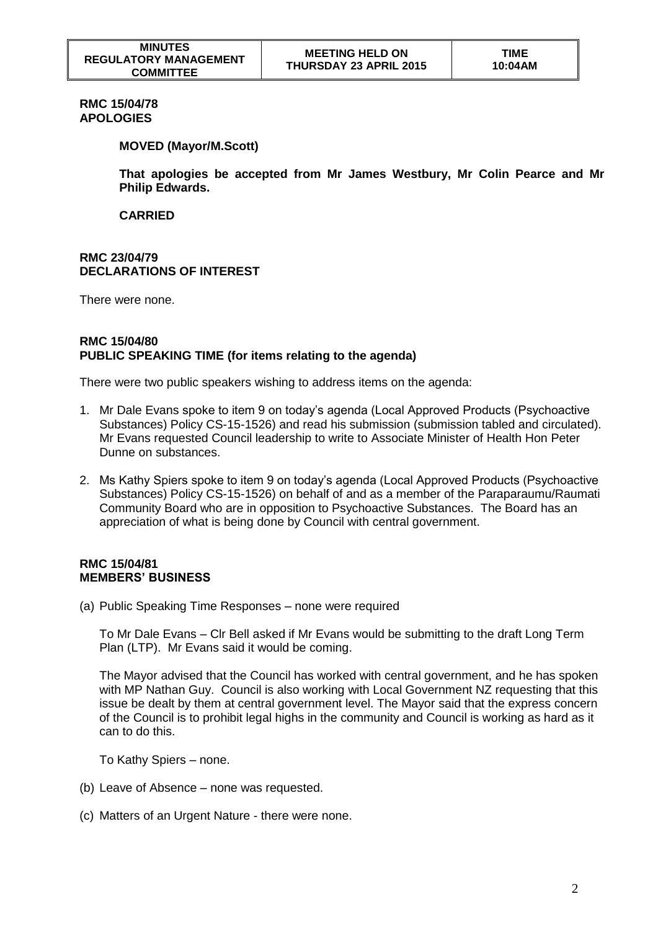# **RMC 15/04/78 APOLOGIES**

### **MOVED (Mayor/M.Scott)**

**That apologies be accepted from Mr James Westbury, Mr Colin Pearce and Mr Philip Edwards.**

**CARRIED**

### **RMC 23/04/79 DECLARATIONS OF INTEREST**

There were none.

#### **RMC 15/04/80 PUBLIC SPEAKING TIME (for items relating to the agenda)**

There were two public speakers wishing to address items on the agenda:

- 1. Mr Dale Evans spoke to item 9 on today's agenda (Local Approved Products (Psychoactive Substances) Policy CS-15-1526) and read his submission (submission tabled and circulated). Mr Evans requested Council leadership to write to Associate Minister of Health Hon Peter Dunne on substances.
- 2. Ms Kathy Spiers spoke to item 9 on today's agenda (Local Approved Products (Psychoactive Substances) Policy CS-15-1526) on behalf of and as a member of the Paraparaumu/Raumati Community Board who are in opposition to Psychoactive Substances. The Board has an appreciation of what is being done by Council with central government.

### **RMC 15/04/81 MEMBERS' BUSINESS**

(a) Public Speaking Time Responses – none were required

To Mr Dale Evans – Clr Bell asked if Mr Evans would be submitting to the draft Long Term Plan (LTP). Mr Evans said it would be coming.

The Mayor advised that the Council has worked with central government, and he has spoken with MP Nathan Guy. Council is also working with Local Government NZ requesting that this issue be dealt by them at central government level. The Mayor said that the express concern of the Council is to prohibit legal highs in the community and Council is working as hard as it can to do this.

To Kathy Spiers – none.

- (b) Leave of Absence none was requested.
- (c) Matters of an Urgent Nature there were none.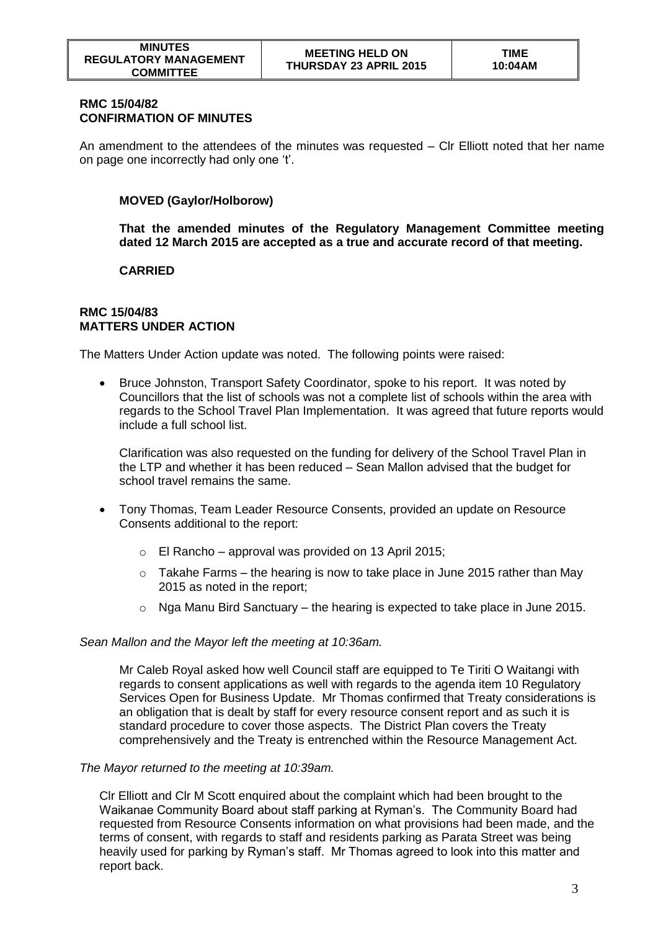## **RMC 15/04/82 CONFIRMATION OF MINUTES**

An amendment to the attendees of the minutes was requested – Clr Elliott noted that her name on page one incorrectly had only one 't'.

# **MOVED (Gaylor/Holborow)**

**That the amended minutes of the Regulatory Management Committee meeting dated 12 March 2015 are accepted as a true and accurate record of that meeting.** 

# **CARRIED**

#### **RMC 15/04/83 MATTERS UNDER ACTION**

The Matters Under Action update was noted. The following points were raised:

• Bruce Johnston, Transport Safety Coordinator, spoke to his report. It was noted by Councillors that the list of schools was not a complete list of schools within the area with regards to the School Travel Plan Implementation. It was agreed that future reports would include a full school list.

Clarification was also requested on the funding for delivery of the School Travel Plan in the LTP and whether it has been reduced – Sean Mallon advised that the budget for school travel remains the same.

- Tony Thomas, Team Leader Resource Consents, provided an update on Resource Consents additional to the report:
	- o El Rancho approval was provided on 13 April 2015;
	- $\circ$  Takahe Farms the hearing is now to take place in June 2015 rather than May 2015 as noted in the report;
	- $\circ$  Nga Manu Bird Sanctuary the hearing is expected to take place in June 2015.

# *Sean Mallon and the Mayor left the meeting at 10:36am.*

Mr Caleb Royal asked how well Council staff are equipped to Te Tiriti O Waitangi with regards to consent applications as well with regards to the agenda item 10 Regulatory Services Open for Business Update. Mr Thomas confirmed that Treaty considerations is an obligation that is dealt by staff for every resource consent report and as such it is standard procedure to cover those aspects. The District Plan covers the Treaty comprehensively and the Treaty is entrenched within the Resource Management Act.

#### *The Mayor returned to the meeting at 10:39am.*

Clr Elliott and Clr M Scott enquired about the complaint which had been brought to the Waikanae Community Board about staff parking at Ryman's. The Community Board had requested from Resource Consents information on what provisions had been made, and the terms of consent, with regards to staff and residents parking as Parata Street was being heavily used for parking by Ryman's staff. Mr Thomas agreed to look into this matter and report back.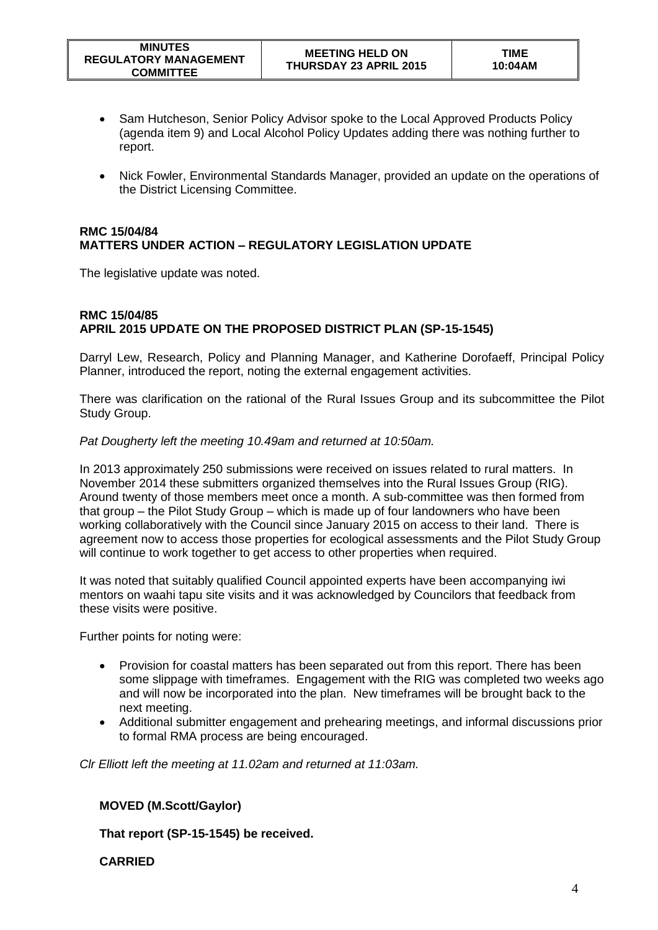- Sam Hutcheson, Senior Policy Advisor spoke to the Local Approved Products Policy (agenda item 9) and Local Alcohol Policy Updates adding there was nothing further to report.
- Nick Fowler, Environmental Standards Manager, provided an update on the operations of the District Licensing Committee.

## **RMC 15/04/84 MATTERS UNDER ACTION – REGULATORY LEGISLATION UPDATE**

The legislative update was noted.

# **RMC 15/04/85 APRIL 2015 UPDATE ON THE PROPOSED DISTRICT PLAN (SP-15-1545)**

Darryl Lew, Research, Policy and Planning Manager, and Katherine Dorofaeff, Principal Policy Planner, introduced the report, noting the external engagement activities.

There was clarification on the rational of the Rural Issues Group and its subcommittee the Pilot Study Group.

### *Pat Dougherty left the meeting 10.49am and returned at 10:50am.*

In 2013 approximately 250 submissions were received on issues related to rural matters. In November 2014 these submitters organized themselves into the Rural Issues Group (RIG). Around twenty of those members meet once a month. A sub-committee was then formed from that group – the Pilot Study Group – which is made up of four landowners who have been working collaboratively with the Council since January 2015 on access to their land. There is agreement now to access those properties for ecological assessments and the Pilot Study Group will continue to work together to get access to other properties when required.

It was noted that suitably qualified Council appointed experts have been accompanying iwi mentors on waahi tapu site visits and it was acknowledged by Councilors that feedback from these visits were positive.

Further points for noting were:

- Provision for coastal matters has been separated out from this report. There has been some slippage with timeframes. Engagement with the RIG was completed two weeks ago and will now be incorporated into the plan. New timeframes will be brought back to the next meeting.
- Additional submitter engagement and prehearing meetings, and informal discussions prior to formal RMA process are being encouraged.

*Clr Elliott left the meeting at 11.02am and returned at 11:03am.*

# **MOVED (M.Scott/Gaylor)**

**That report (SP-15-1545) be received.** 

**CARRIED**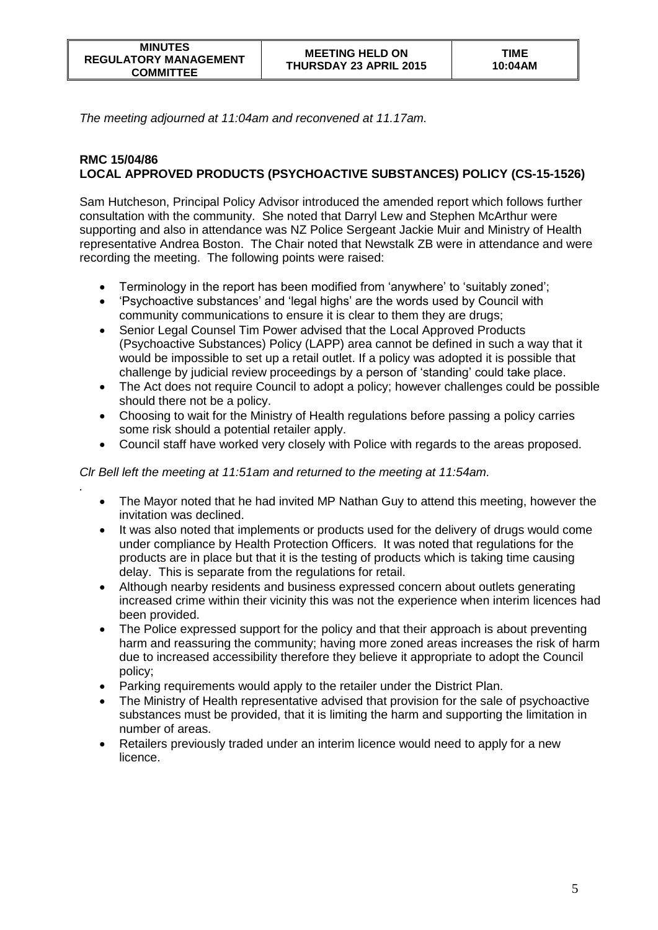*.*

*The meeting adjourned at 11:04am and reconvened at 11.17am.*

# **RMC 15/04/86 LOCAL APPROVED PRODUCTS (PSYCHOACTIVE SUBSTANCES) POLICY (CS-15-1526)**

Sam Hutcheson, Principal Policy Advisor introduced the amended report which follows further consultation with the community. She noted that Darryl Lew and Stephen McArthur were supporting and also in attendance was NZ Police Sergeant Jackie Muir and Ministry of Health representative Andrea Boston. The Chair noted that Newstalk ZB were in attendance and were recording the meeting. The following points were raised:

- Terminology in the report has been modified from 'anywhere' to 'suitably zoned';
- 'Psychoactive substances' and 'legal highs' are the words used by Council with community communications to ensure it is clear to them they are drugs;
- Senior Legal Counsel Tim Power advised that the Local Approved Products (Psychoactive Substances) Policy (LAPP) area cannot be defined in such a way that it would be impossible to set up a retail outlet. If a policy was adopted it is possible that challenge by judicial review proceedings by a person of 'standing' could take place.
- The Act does not require Council to adopt a policy; however challenges could be possible should there not be a policy.
- Choosing to wait for the Ministry of Health regulations before passing a policy carries some risk should a potential retailer apply.
- Council staff have worked very closely with Police with regards to the areas proposed.

*Clr Bell left the meeting at 11:51am and returned to the meeting at 11:54am.*

- The Mayor noted that he had invited MP Nathan Guy to attend this meeting, however the invitation was declined.
- It was also noted that implements or products used for the delivery of drugs would come under compliance by Health Protection Officers. It was noted that regulations for the products are in place but that it is the testing of products which is taking time causing delay. This is separate from the regulations for retail.
- Although nearby residents and business expressed concern about outlets generating increased crime within their vicinity this was not the experience when interim licences had been provided.
- The Police expressed support for the policy and that their approach is about preventing harm and reassuring the community; having more zoned areas increases the risk of harm due to increased accessibility therefore they believe it appropriate to adopt the Council policy;
- Parking requirements would apply to the retailer under the District Plan.
- The Ministry of Health representative advised that provision for the sale of psychoactive substances must be provided, that it is limiting the harm and supporting the limitation in number of areas.
- Retailers previously traded under an interim licence would need to apply for a new licence.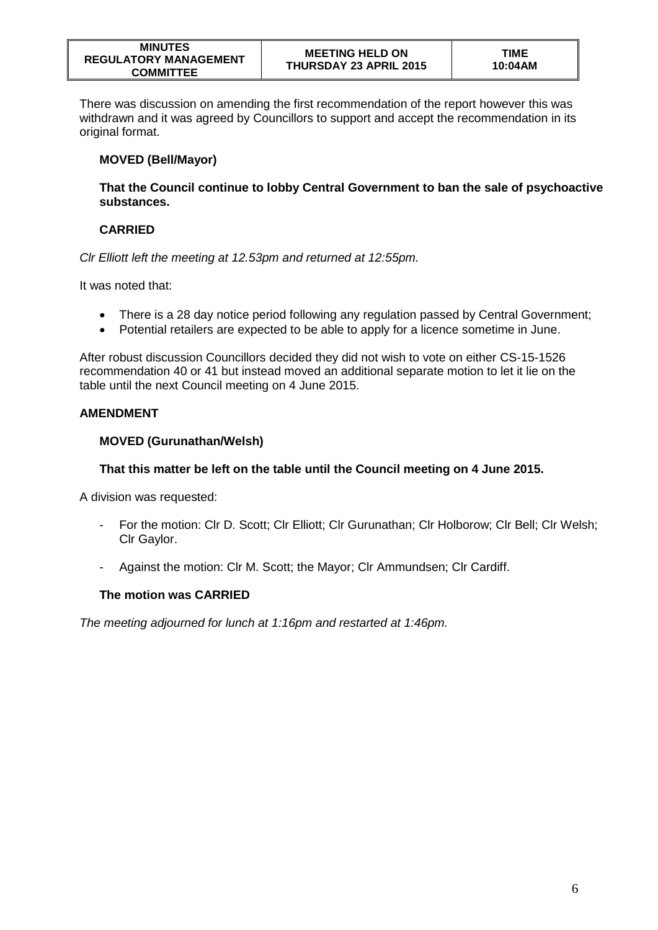| <b>MINUTES</b>               |
|------------------------------|
| <b>REGULATORY MANAGEMENT</b> |
| <b>COMMITTEE</b>             |

There was discussion on amending the first recommendation of the report however this was withdrawn and it was agreed by Councillors to support and accept the recommendation in its original format.

# **MOVED (Bell/Mayor)**

**That the Council continue to lobby Central Government to ban the sale of psychoactive substances.**

# **CARRIED**

*Clr Elliott left the meeting at 12.53pm and returned at 12:55pm.*

It was noted that:

- There is a 28 day notice period following any regulation passed by Central Government;
- Potential retailers are expected to be able to apply for a licence sometime in June.

After robust discussion Councillors decided they did not wish to vote on either CS-15-1526 recommendation 40 or 41 but instead moved an additional separate motion to let it lie on the table until the next Council meeting on 4 June 2015.

# **AMENDMENT**

# **MOVED (Gurunathan/Welsh)**

# **That this matter be left on the table until the Council meeting on 4 June 2015.**

A division was requested:

- For the motion: Clr D. Scott; Clr Elliott; Clr Gurunathan; Clr Holborow; Clr Bell; Clr Welsh; Clr Gaylor.
- Against the motion: Clr M. Scott; the Mayor; Clr Ammundsen; Clr Cardiff.

# **The motion was CARRIED**

*The meeting adjourned for lunch at 1:16pm and restarted at 1:46pm.*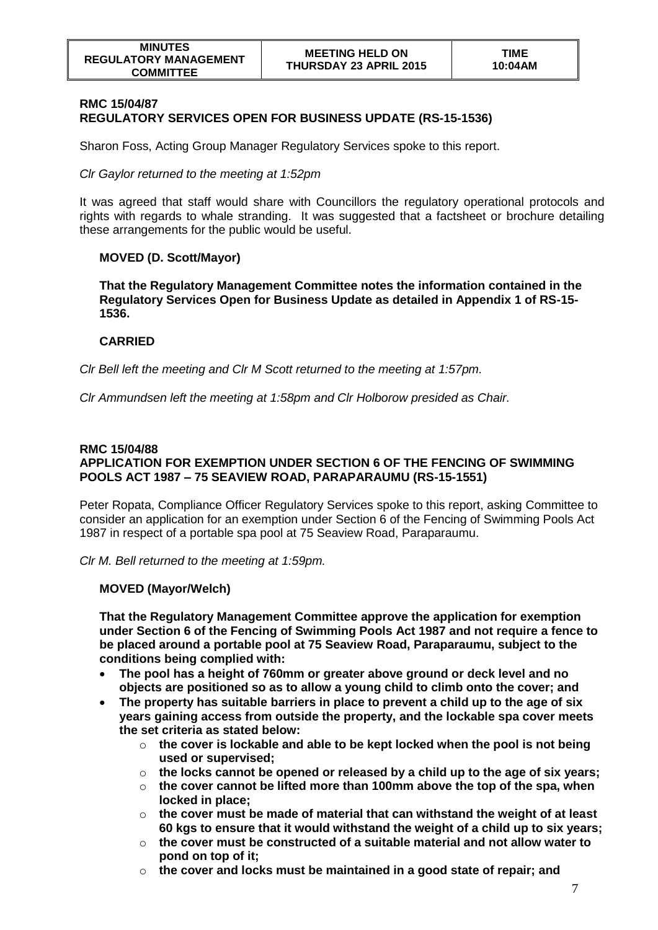### **RMC 15/04/87 REGULATORY SERVICES OPEN FOR BUSINESS UPDATE (RS-15-1536)**

Sharon Foss, Acting Group Manager Regulatory Services spoke to this report.

# *Clr Gaylor returned to the meeting at 1:52pm*

It was agreed that staff would share with Councillors the regulatory operational protocols and rights with regards to whale stranding. It was suggested that a factsheet or brochure detailing these arrangements for the public would be useful.

# **MOVED (D. Scott/Mayor)**

**That the Regulatory Management Committee notes the information contained in the Regulatory Services Open for Business Update as detailed in Appendix 1 of RS-15- 1536.** 

# **CARRIED**

*Clr Bell left the meeting and Clr M Scott returned to the meeting at 1:57pm.*

*Clr Ammundsen left the meeting at 1:58pm and Clr Holborow presided as Chair.*

### **RMC 15/04/88 APPLICATION FOR EXEMPTION UNDER SECTION 6 OF THE FENCING OF SWIMMING POOLS ACT 1987 – 75 SEAVIEW ROAD, PARAPARAUMU (RS-15-1551)**

Peter Ropata, Compliance Officer Regulatory Services spoke to this report, asking Committee to consider an application for an exemption under Section 6 of the Fencing of Swimming Pools Act 1987 in respect of a portable spa pool at 75 Seaview Road, Paraparaumu.

*Clr M. Bell returned to the meeting at 1:59pm.*

# **MOVED (Mayor/Welch)**

**That the Regulatory Management Committee approve the application for exemption under Section 6 of the Fencing of Swimming Pools Act 1987 and not require a fence to be placed around a portable pool at 75 Seaview Road, Paraparaumu, subject to the conditions being complied with:**

- **The pool has a height of 760mm or greater above ground or deck level and no objects are positioned so as to allow a young child to climb onto the cover; and**
- **The property has suitable barriers in place to prevent a child up to the age of six years gaining access from outside the property, and the lockable spa cover meets the set criteria as stated below:**
	- o **the cover is lockable and able to be kept locked when the pool is not being used or supervised;**
	- o **the locks cannot be opened or released by a child up to the age of six years;**
	- o **the cover cannot be lifted more than 100mm above the top of the spa, when locked in place;**
	- o **the cover must be made of material that can withstand the weight of at least 60 kgs to ensure that it would withstand the weight of a child up to six years;**
	- o **the cover must be constructed of a suitable material and not allow water to pond on top of it;**
	- o **the cover and locks must be maintained in a good state of repair; and**